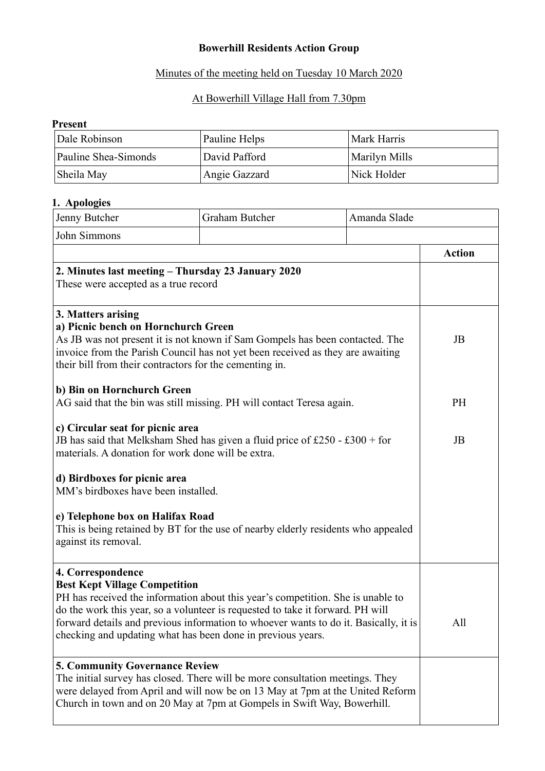# **Bowerhill Residents Action Group**

## Minutes of the meeting held on Tuesday 10 March 2020

# At Bowerhill Village Hall from 7.30pm

### **Present**

| Dale Robinson        | Pauline Helps | Mark Harris   |
|----------------------|---------------|---------------|
| Pauline Shea-Simonds | David Pafford | Marilyn Mills |
| Sheila May           | Angie Gazzard | Nick Holder   |

## **1. Apologies**

| Jenny Butcher                                                                                                                                                                                                                                                                                                                                                                         | <b>Graham Butcher</b>                                                                                                                                                                                                                     | Amanda Slade |               |
|---------------------------------------------------------------------------------------------------------------------------------------------------------------------------------------------------------------------------------------------------------------------------------------------------------------------------------------------------------------------------------------|-------------------------------------------------------------------------------------------------------------------------------------------------------------------------------------------------------------------------------------------|--------------|---------------|
| John Simmons                                                                                                                                                                                                                                                                                                                                                                          |                                                                                                                                                                                                                                           |              |               |
|                                                                                                                                                                                                                                                                                                                                                                                       |                                                                                                                                                                                                                                           |              | <b>Action</b> |
| 2. Minutes last meeting – Thursday 23 January 2020<br>These were accepted as a true record                                                                                                                                                                                                                                                                                            |                                                                                                                                                                                                                                           |              |               |
| 3. Matters arising<br>a) Picnic bench on Hornchurch Green<br>As JB was not present it is not known if Sam Gompels has been contacted. The<br>invoice from the Parish Council has not yet been received as they are awaiting<br>their bill from their contractors for the cementing in.                                                                                                |                                                                                                                                                                                                                                           |              | JB            |
| b) Bin on Hornchurch Green<br>AG said that the bin was still missing. PH will contact Teresa again.                                                                                                                                                                                                                                                                                   |                                                                                                                                                                                                                                           |              | <b>PH</b>     |
| c) Circular seat for picnic area<br>JB has said that Melksham Shed has given a fluid price of £250 - £300 + for<br>materials. A donation for work done will be extra.                                                                                                                                                                                                                 |                                                                                                                                                                                                                                           | JB           |               |
| d) Birdboxes for picnic area<br>MM's birdboxes have been installed.                                                                                                                                                                                                                                                                                                                   |                                                                                                                                                                                                                                           |              |               |
| e) Telephone box on Halifax Road<br>against its removal.                                                                                                                                                                                                                                                                                                                              | This is being retained by BT for the use of nearby elderly residents who appealed                                                                                                                                                         |              |               |
| 4. Correspondence<br><b>Best Kept Village Competition</b><br>PH has received the information about this year's competition. She is unable to<br>do the work this year, so a volunteer is requested to take it forward. PH will<br>forward details and previous information to whoever wants to do it. Basically, it is<br>checking and updating what has been done in previous years. |                                                                                                                                                                                                                                           | All          |               |
| <b>5. Community Governance Review</b>                                                                                                                                                                                                                                                                                                                                                 | The initial survey has closed. There will be more consultation meetings. They<br>were delayed from April and will now be on 13 May at 7pm at the United Reform<br>Church in town and on 20 May at 7pm at Gompels in Swift Way, Bowerhill. |              |               |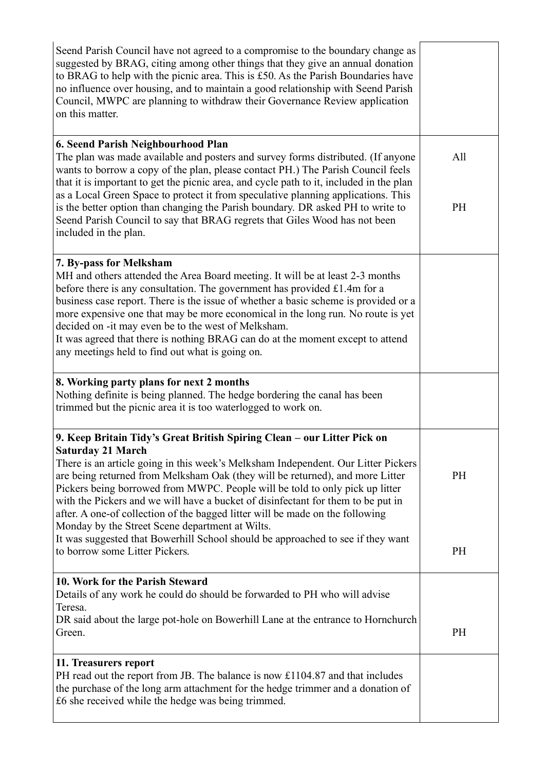| Seend Parish Council have not agreed to a compromise to the boundary change as<br>suggested by BRAG, citing among other things that they give an annual donation<br>to BRAG to help with the picnic area. This is £50. As the Parish Boundaries have<br>no influence over housing, and to maintain a good relationship with Seend Parish<br>Council, MWPC are planning to withdraw their Governance Review application<br>on this matter.                                                                                                                                                                                                                            |           |
|----------------------------------------------------------------------------------------------------------------------------------------------------------------------------------------------------------------------------------------------------------------------------------------------------------------------------------------------------------------------------------------------------------------------------------------------------------------------------------------------------------------------------------------------------------------------------------------------------------------------------------------------------------------------|-----------|
| 6. Seend Parish Neighbourhood Plan<br>The plan was made available and posters and survey forms distributed. (If anyone<br>wants to borrow a copy of the plan, please contact PH.) The Parish Council feels<br>that it is important to get the picnic area, and cycle path to it, included in the plan<br>as a Local Green Space to protect it from speculative planning applications. This<br>is the better option than changing the Parish boundary. DR asked PH to write to<br>Seend Parish Council to say that BRAG regrets that Giles Wood has not been<br>included in the plan.                                                                                 | All<br>PH |
|                                                                                                                                                                                                                                                                                                                                                                                                                                                                                                                                                                                                                                                                      |           |
| 7. By-pass for Melksham<br>MH and others attended the Area Board meeting. It will be at least 2-3 months<br>before there is any consultation. The government has provided $£1.4m$ for a<br>business case report. There is the issue of whether a basic scheme is provided or a<br>more expensive one that may be more economical in the long run. No route is yet<br>decided on -it may even be to the west of Melksham.<br>It was agreed that there is nothing BRAG can do at the moment except to attend<br>any meetings held to find out what is going on.                                                                                                        |           |
| 8. Working party plans for next 2 months<br>Nothing definite is being planned. The hedge bordering the canal has been<br>trimmed but the picnic area it is too waterlogged to work on.                                                                                                                                                                                                                                                                                                                                                                                                                                                                               |           |
| 9. Keep Britain Tidy's Great British Spiring Clean – our Litter Pick on<br><b>Saturday 21 March</b><br>There is an article going in this week's Melksham Independent. Our Litter Pickers<br>are being returned from Melksham Oak (they will be returned), and more Litter<br>Pickers being borrowed from MWPC. People will be told to only pick up litter<br>with the Pickers and we will have a bucket of disinfectant for them to be put in<br>after. A one-of collection of the bagged litter will be made on the following<br>Monday by the Street Scene department at Wilts.<br>It was suggested that Bowerhill School should be approached to see if they want | PH        |
| to borrow some Litter Pickers.                                                                                                                                                                                                                                                                                                                                                                                                                                                                                                                                                                                                                                       | <b>PH</b> |
| 10. Work for the Parish Steward<br>Details of any work he could do should be forwarded to PH who will advise<br>Teresa.<br>DR said about the large pot-hole on Bowerhill Lane at the entrance to Hornchurch<br>Green.                                                                                                                                                                                                                                                                                                                                                                                                                                                | PH        |
| 11. Treasurers report<br>PH read out the report from JB. The balance is now £1104.87 and that includes<br>the purchase of the long arm attachment for the hedge trimmer and a donation of<br>£6 she received while the hedge was being trimmed.                                                                                                                                                                                                                                                                                                                                                                                                                      |           |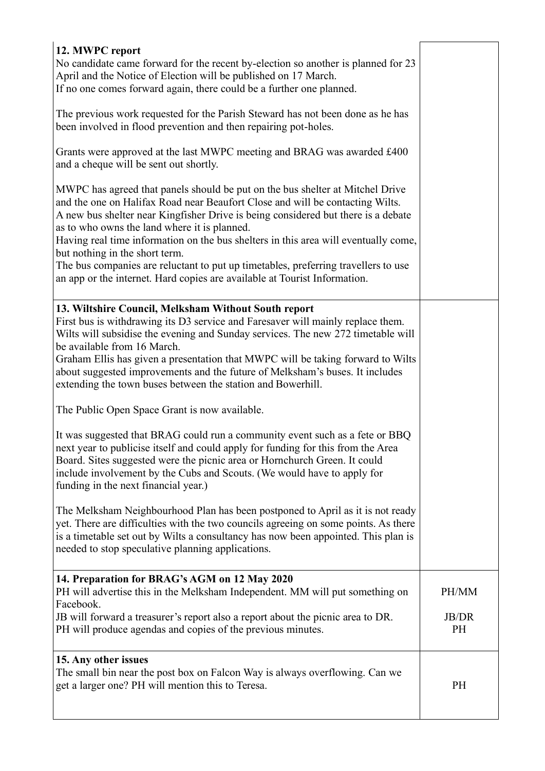| 12. MWPC report<br>No candidate came forward for the recent by-election so another is planned for 23<br>April and the Notice of Election will be published on 17 March.<br>If no one comes forward again, there could be a further one planned.                                                                                                                                                                                                                                                                                                                                                 |                           |
|-------------------------------------------------------------------------------------------------------------------------------------------------------------------------------------------------------------------------------------------------------------------------------------------------------------------------------------------------------------------------------------------------------------------------------------------------------------------------------------------------------------------------------------------------------------------------------------------------|---------------------------|
| The previous work requested for the Parish Steward has not been done as he has<br>been involved in flood prevention and then repairing pot-holes.                                                                                                                                                                                                                                                                                                                                                                                                                                               |                           |
| Grants were approved at the last MWPC meeting and BRAG was awarded £400<br>and a cheque will be sent out shortly.                                                                                                                                                                                                                                                                                                                                                                                                                                                                               |                           |
| MWPC has agreed that panels should be put on the bus shelter at Mitchel Drive<br>and the one on Halifax Road near Beaufort Close and will be contacting Wilts.<br>A new bus shelter near Kingfisher Drive is being considered but there is a debate<br>as to who owns the land where it is planned.<br>Having real time information on the bus shelters in this area will eventually come,<br>but nothing in the short term.<br>The bus companies are reluctant to put up timetables, preferring travellers to use<br>an app or the internet. Hard copies are available at Tourist Information. |                           |
| 13. Wiltshire Council, Melksham Without South report<br>First bus is withdrawing its D3 service and Faresaver will mainly replace them.<br>Wilts will subsidise the evening and Sunday services. The new 272 timetable will<br>be available from 16 March.<br>Graham Ellis has given a presentation that MWPC will be taking forward to Wilts<br>about suggested improvements and the future of Melksham's buses. It includes<br>extending the town buses between the station and Bowerhill.                                                                                                    |                           |
| The Public Open Space Grant is now available.                                                                                                                                                                                                                                                                                                                                                                                                                                                                                                                                                   |                           |
| It was suggested that BRAG could run a community event such as a fete or BBQ<br>next year to publicise itself and could apply for funding for this from the Area<br>Board. Sites suggested were the picnic area or Hornchurch Green. It could<br>include involvement by the Cubs and Scouts. (We would have to apply for<br>funding in the next financial year.)                                                                                                                                                                                                                                |                           |
| The Melksham Neighbourhood Plan has been postponed to April as it is not ready<br>yet. There are difficulties with the two councils agreeing on some points. As there<br>is a timetable set out by Wilts a consultancy has now been appointed. This plan is<br>needed to stop speculative planning applications.                                                                                                                                                                                                                                                                                |                           |
| 14. Preparation for BRAG's AGM on 12 May 2020<br>PH will advertise this in the Melksham Independent. MM will put something on                                                                                                                                                                                                                                                                                                                                                                                                                                                                   | PH/MM                     |
| Facebook.<br>JB will forward a treasurer's report also a report about the picnic area to DR.<br>PH will produce agendas and copies of the previous minutes.                                                                                                                                                                                                                                                                                                                                                                                                                                     | <b>JB/DR</b><br><b>PH</b> |
| 15. Any other issues<br>The small bin near the post box on Falcon Way is always overflowing. Can we<br>get a larger one? PH will mention this to Teresa.                                                                                                                                                                                                                                                                                                                                                                                                                                        | PH                        |